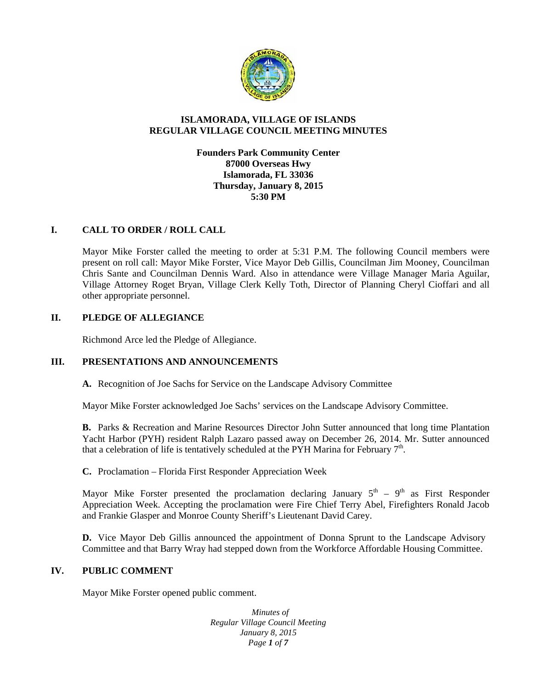

# **ISLAMORADA, VILLAGE OF ISLANDS REGULAR VILLAGE COUNCIL MEETING MINUTES**

**Founders Park Community Center 87000 Overseas Hwy Islamorada, FL 33036 Thursday, January 8, 2015 5:30 PM**

# **I. CALL TO ORDER / ROLL CALL**

Mayor Mike Forster called the meeting to order at 5:31 P.M. The following Council members were present on roll call: Mayor Mike Forster, Vice Mayor Deb Gillis, Councilman Jim Mooney, Councilman Chris Sante and Councilman Dennis Ward. Also in attendance were Village Manager Maria Aguilar, Village Attorney Roget Bryan, Village Clerk Kelly Toth, Director of Planning Cheryl Cioffari and all other appropriate personnel.

# **II. PLEDGE OF ALLEGIANCE**

Richmond Arce led the Pledge of Allegiance.

# **III. PRESENTATIONS AND ANNOUNCEMENTS**

**A.** Recognition of Joe Sachs for Service on the Landscape Advisory Committee

Mayor Mike Forster acknowledged Joe Sachs' services on the Landscape Advisory Committee.

**B.** Parks & Recreation and Marine Resources Director John Sutter announced that long time Plantation Yacht Harbor (PYH) resident Ralph Lazaro passed away on December 26, 2014. Mr. Sutter announced that a celebration of life is tentatively scheduled at the PYH Marina for February  $7<sup>th</sup>$ .

**C.** Proclamation – Florida First Responder Appreciation Week

Mayor Mike Forster presented the proclamation declaring January  $5<sup>th</sup> - 9<sup>th</sup>$  as First Responder Appreciation Week. Accepting the proclamation were Fire Chief Terry Abel, Firefighters Ronald Jacob and Frankie Glasper and Monroe County Sheriff's Lieutenant David Carey.

**D.** Vice Mayor Deb Gillis announced the appointment of Donna Sprunt to the Landscape Advisory Committee and that Barry Wray had stepped down from the Workforce Affordable Housing Committee.

## **IV. PUBLIC COMMENT**

Mayor Mike Forster opened public comment.

*Minutes of Regular Village Council Meeting January 8, 2015 Page 1 of 7*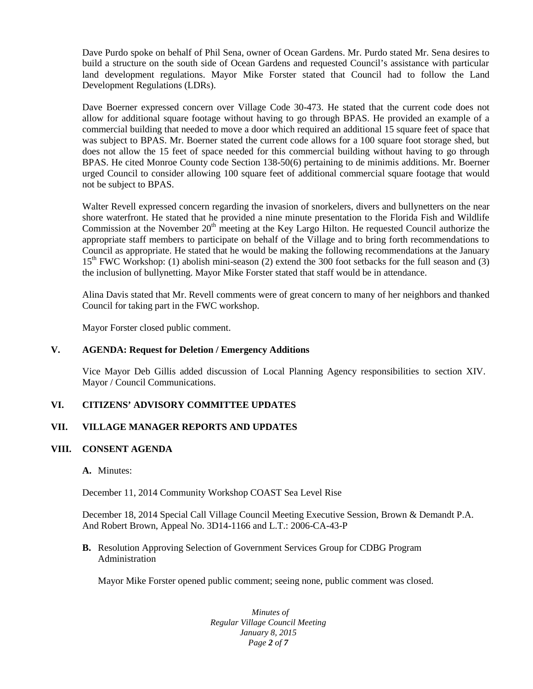Dave Purdo spoke on behalf of Phil Sena, owner of Ocean Gardens. Mr. Purdo stated Mr. Sena desires to build a structure on the south side of Ocean Gardens and requested Council's assistance with particular land development regulations. Mayor Mike Forster stated that Council had to follow the Land Development Regulations (LDRs).

Dave Boerner expressed concern over Village Code 30-473. He stated that the current code does not allow for additional square footage without having to go through BPAS. He provided an example of a commercial building that needed to move a door which required an additional 15 square feet of space that was subject to BPAS. Mr. Boerner stated the current code allows for a 100 square foot storage shed, but does not allow the 15 feet of space needed for this commercial building without having to go through BPAS. He cited Monroe County code Section 138-50(6) pertaining to de minimis additions. Mr. Boerner urged Council to consider allowing 100 square feet of additional commercial square footage that would not be subject to BPAS.

Walter Revell expressed concern regarding the invasion of snorkelers, divers and bullynetters on the near shore waterfront. He stated that he provided a nine minute presentation to the Florida Fish and Wildlife Commission at the November  $20<sup>th</sup>$  meeting at the Key Largo Hilton. He requested Council authorize the appropriate staff members to participate on behalf of the Village and to bring forth recommendations to Council as appropriate. He stated that he would be making the following recommendations at the January 15<sup>th</sup> FWC Workshop: (1) abolish mini-season (2) extend the 300 foot setbacks for the full season and (3) the inclusion of bullynetting. Mayor Mike Forster stated that staff would be in attendance.

Alina Davis stated that Mr. Revell comments were of great concern to many of her neighbors and thanked Council for taking part in the FWC workshop.

Mayor Forster closed public comment.

## **V. AGENDA: Request for Deletion / Emergency Additions**

Vice Mayor Deb Gillis added discussion of Local Planning Agency responsibilities to section XIV. Mayor / Council Communications.

## **VI. CITIZENS' ADVISORY COMMITTEE UPDATES**

## **VII. VILLAGE MANAGER REPORTS AND UPDATES**

### **VIII. CONSENT AGENDA**

### **A.** Minutes:

December 11, 2014 Community Workshop COAST Sea Level Rise

December 18, 2014 Special Call Village Council Meeting Executive Session, Brown & Demandt P.A. And Robert Brown, Appeal No. 3D14-1166 and L.T.: 2006-CA-43-P

**B.** Resolution Approving Selection of Government Services Group for CDBG Program Administration

Mayor Mike Forster opened public comment; seeing none, public comment was closed.

*Minutes of Regular Village Council Meeting January 8, 2015 Page 2 of 7*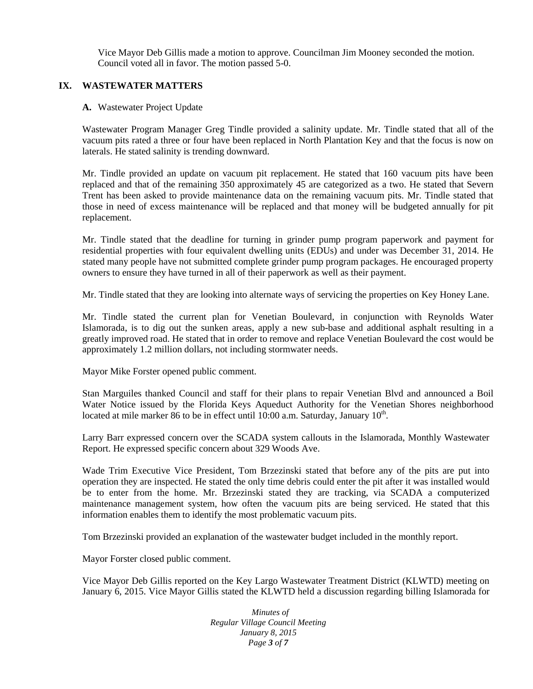Vice Mayor Deb Gillis made a motion to approve. Councilman Jim Mooney seconded the motion. Council voted all in favor. The motion passed 5-0.

# **IX. WASTEWATER MATTERS**

### **A.** Wastewater Project Update

Wastewater Program Manager Greg Tindle provided a salinity update. Mr. Tindle stated that all of the vacuum pits rated a three or four have been replaced in North Plantation Key and that the focus is now on laterals. He stated salinity is trending downward.

Mr. Tindle provided an update on vacuum pit replacement. He stated that 160 vacuum pits have been replaced and that of the remaining 350 approximately 45 are categorized as a two. He stated that Severn Trent has been asked to provide maintenance data on the remaining vacuum pits. Mr. Tindle stated that those in need of excess maintenance will be replaced and that money will be budgeted annually for pit replacement.

Mr. Tindle stated that the deadline for turning in grinder pump program paperwork and payment for residential properties with four equivalent dwelling units (EDUs) and under was December 31, 2014. He stated many people have not submitted complete grinder pump program packages. He encouraged property owners to ensure they have turned in all of their paperwork as well as their payment.

Mr. Tindle stated that they are looking into alternate ways of servicing the properties on Key Honey Lane.

Mr. Tindle stated the current plan for Venetian Boulevard, in conjunction with Reynolds Water Islamorada, is to dig out the sunken areas, apply a new sub-base and additional asphalt resulting in a greatly improved road. He stated that in order to remove and replace Venetian Boulevard the cost would be approximately 1.2 million dollars, not including stormwater needs.

Mayor Mike Forster opened public comment.

Stan Marguiles thanked Council and staff for their plans to repair Venetian Blvd and announced a Boil Water Notice issued by the Florida Keys Aqueduct Authority for the Venetian Shores neighborhood located at mile marker 86 to be in effect until 10:00 a.m. Saturday, January 10<sup>th</sup>.

Larry Barr expressed concern over the SCADA system callouts in the Islamorada, Monthly Wastewater Report. He expressed specific concern about 329 Woods Ave.

Wade Trim Executive Vice President, Tom Brzezinski stated that before any of the pits are put into operation they are inspected. He stated the only time debris could enter the pit after it was installed would be to enter from the home. Mr. Brzezinski stated they are tracking, via SCADA a computerized maintenance management system, how often the vacuum pits are being serviced. He stated that this information enables them to identify the most problematic vacuum pits.

Tom Brzezinski provided an explanation of the wastewater budget included in the monthly report.

Mayor Forster closed public comment.

Vice Mayor Deb Gillis reported on the Key Largo Wastewater Treatment District (KLWTD) meeting on January 6, 2015. Vice Mayor Gillis stated the KLWTD held a discussion regarding billing Islamorada for

> *Minutes of Regular Village Council Meeting January 8, 2015 Page 3 of 7*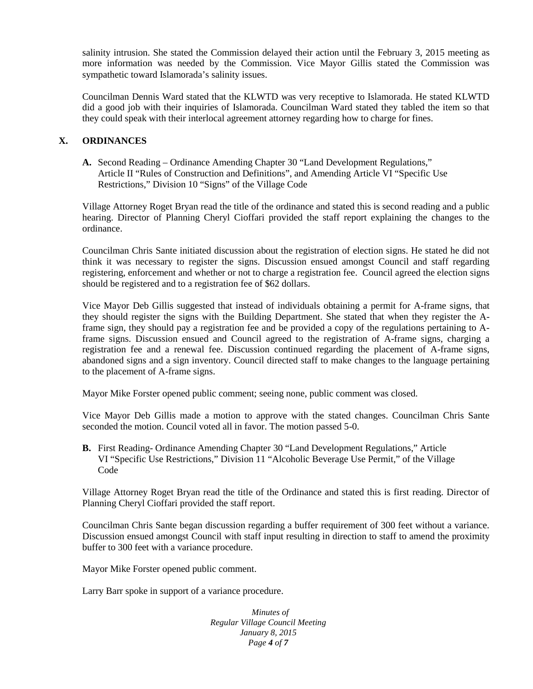salinity intrusion. She stated the Commission delayed their action until the February 3, 2015 meeting as more information was needed by the Commission. Vice Mayor Gillis stated the Commission was sympathetic toward Islamorada's salinity issues.

Councilman Dennis Ward stated that the KLWTD was very receptive to Islamorada. He stated KLWTD did a good job with their inquiries of Islamorada. Councilman Ward stated they tabled the item so that they could speak with their interlocal agreement attorney regarding how to charge for fines.

# **X. ORDINANCES**

**A.** Second Reading – Ordinance Amending Chapter 30 "Land Development Regulations," Article II "Rules of Construction and Definitions", and Amending Article VI "Specific Use Restrictions," Division 10 "Signs" of the Village Code

Village Attorney Roget Bryan read the title of the ordinance and stated this is second reading and a public hearing. Director of Planning Cheryl Cioffari provided the staff report explaining the changes to the ordinance.

Councilman Chris Sante initiated discussion about the registration of election signs. He stated he did not think it was necessary to register the signs. Discussion ensued amongst Council and staff regarding registering, enforcement and whether or not to charge a registration fee. Council agreed the election signs should be registered and to a registration fee of \$62 dollars.

Vice Mayor Deb Gillis suggested that instead of individuals obtaining a permit for A-frame signs, that they should register the signs with the Building Department. She stated that when they register the Aframe sign, they should pay a registration fee and be provided a copy of the regulations pertaining to Aframe signs. Discussion ensued and Council agreed to the registration of A-frame signs, charging a registration fee and a renewal fee. Discussion continued regarding the placement of A-frame signs, abandoned signs and a sign inventory. Council directed staff to make changes to the language pertaining to the placement of A-frame signs.

Mayor Mike Forster opened public comment; seeing none, public comment was closed.

Vice Mayor Deb Gillis made a motion to approve with the stated changes. Councilman Chris Sante seconded the motion. Council voted all in favor. The motion passed 5-0.

**B.** First Reading- Ordinance Amending Chapter 30 "Land Development Regulations," Article VI "Specific Use Restrictions," Division 11 "Alcoholic Beverage Use Permit," of the Village Code

Village Attorney Roget Bryan read the title of the Ordinance and stated this is first reading. Director of Planning Cheryl Cioffari provided the staff report.

Councilman Chris Sante began discussion regarding a buffer requirement of 300 feet without a variance. Discussion ensued amongst Council with staff input resulting in direction to staff to amend the proximity buffer to 300 feet with a variance procedure.

Mayor Mike Forster opened public comment.

Larry Barr spoke in support of a variance procedure.

*Minutes of Regular Village Council Meeting January 8, 2015 Page 4 of 7*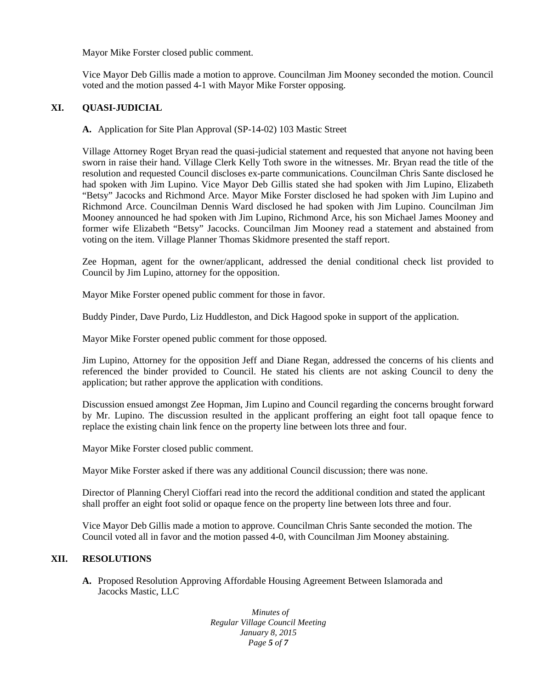Mayor Mike Forster closed public comment.

Vice Mayor Deb Gillis made a motion to approve. Councilman Jim Mooney seconded the motion. Council voted and the motion passed 4-1 with Mayor Mike Forster opposing.

# **XI. QUASI-JUDICIAL**

**A.** Application for Site Plan Approval (SP-14-02) 103 Mastic Street

Village Attorney Roget Bryan read the quasi-judicial statement and requested that anyone not having been sworn in raise their hand. Village Clerk Kelly Toth swore in the witnesses. Mr. Bryan read the title of the resolution and requested Council discloses ex-parte communications. Councilman Chris Sante disclosed he had spoken with Jim Lupino. Vice Mayor Deb Gillis stated she had spoken with Jim Lupino, Elizabeth "Betsy" Jacocks and Richmond Arce. Mayor Mike Forster disclosed he had spoken with Jim Lupino and Richmond Arce. Councilman Dennis Ward disclosed he had spoken with Jim Lupino. Councilman Jim Mooney announced he had spoken with Jim Lupino, Richmond Arce, his son Michael James Mooney and former wife Elizabeth "Betsy" Jacocks. Councilman Jim Mooney read a statement and abstained from voting on the item. Village Planner Thomas Skidmore presented the staff report.

Zee Hopman, agent for the owner/applicant, addressed the denial conditional check list provided to Council by Jim Lupino, attorney for the opposition.

Mayor Mike Forster opened public comment for those in favor.

Buddy Pinder, Dave Purdo, Liz Huddleston, and Dick Hagood spoke in support of the application.

Mayor Mike Forster opened public comment for those opposed.

Jim Lupino, Attorney for the opposition Jeff and Diane Regan, addressed the concerns of his clients and referenced the binder provided to Council. He stated his clients are not asking Council to deny the application; but rather approve the application with conditions.

Discussion ensued amongst Zee Hopman, Jim Lupino and Council regarding the concerns brought forward by Mr. Lupino. The discussion resulted in the applicant proffering an eight foot tall opaque fence to replace the existing chain link fence on the property line between lots three and four.

Mayor Mike Forster closed public comment.

Mayor Mike Forster asked if there was any additional Council discussion; there was none.

Director of Planning Cheryl Cioffari read into the record the additional condition and stated the applicant shall proffer an eight foot solid or opaque fence on the property line between lots three and four.

Vice Mayor Deb Gillis made a motion to approve. Councilman Chris Sante seconded the motion. The Council voted all in favor and the motion passed 4-0, with Councilman Jim Mooney abstaining.

## **XII. RESOLUTIONS**

**A.** Proposed Resolution Approving Affordable Housing Agreement Between Islamorada and Jacocks Mastic, LLC

> *Minutes of Regular Village Council Meeting January 8, 2015 Page 5 of 7*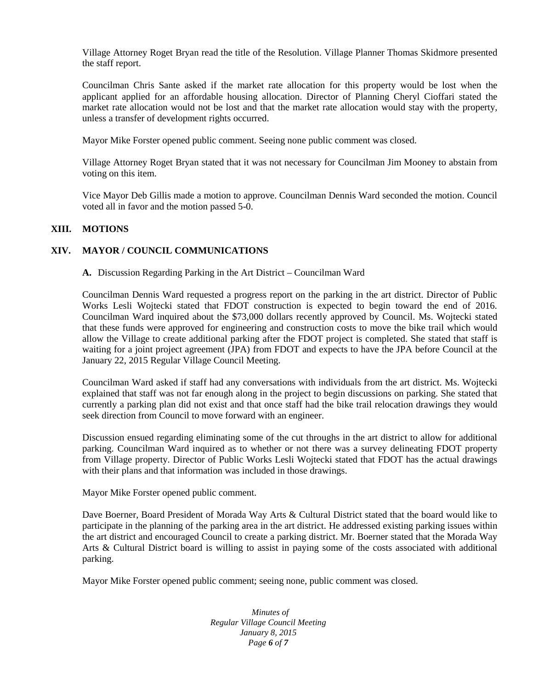Village Attorney Roget Bryan read the title of the Resolution. Village Planner Thomas Skidmore presented the staff report.

Councilman Chris Sante asked if the market rate allocation for this property would be lost when the applicant applied for an affordable housing allocation. Director of Planning Cheryl Cioffari stated the market rate allocation would not be lost and that the market rate allocation would stay with the property, unless a transfer of development rights occurred.

Mayor Mike Forster opened public comment. Seeing none public comment was closed.

Village Attorney Roget Bryan stated that it was not necessary for Councilman Jim Mooney to abstain from voting on this item.

Vice Mayor Deb Gillis made a motion to approve. Councilman Dennis Ward seconded the motion. Council voted all in favor and the motion passed 5-0.

# **XIII. MOTIONS**

# **XIV. MAYOR / COUNCIL COMMUNICATIONS**

**A.** Discussion Regarding Parking in the Art District – Councilman Ward

Councilman Dennis Ward requested a progress report on the parking in the art district. Director of Public Works Lesli Wojtecki stated that FDOT construction is expected to begin toward the end of 2016. Councilman Ward inquired about the \$73,000 dollars recently approved by Council. Ms. Wojtecki stated that these funds were approved for engineering and construction costs to move the bike trail which would allow the Village to create additional parking after the FDOT project is completed. She stated that staff is waiting for a joint project agreement (JPA) from FDOT and expects to have the JPA before Council at the January 22, 2015 Regular Village Council Meeting.

Councilman Ward asked if staff had any conversations with individuals from the art district. Ms. Wojtecki explained that staff was not far enough along in the project to begin discussions on parking. She stated that currently a parking plan did not exist and that once staff had the bike trail relocation drawings they would seek direction from Council to move forward with an engineer.

Discussion ensued regarding eliminating some of the cut throughs in the art district to allow for additional parking. Councilman Ward inquired as to whether or not there was a survey delineating FDOT property from Village property. Director of Public Works Lesli Wojtecki stated that FDOT has the actual drawings with their plans and that information was included in those drawings.

Mayor Mike Forster opened public comment.

Dave Boerner, Board President of Morada Way Arts & Cultural District stated that the board would like to participate in the planning of the parking area in the art district. He addressed existing parking issues within the art district and encouraged Council to create a parking district. Mr. Boerner stated that the Morada Way Arts & Cultural District board is willing to assist in paying some of the costs associated with additional parking.

Mayor Mike Forster opened public comment; seeing none, public comment was closed.

*Minutes of Regular Village Council Meeting January 8, 2015 Page 6 of 7*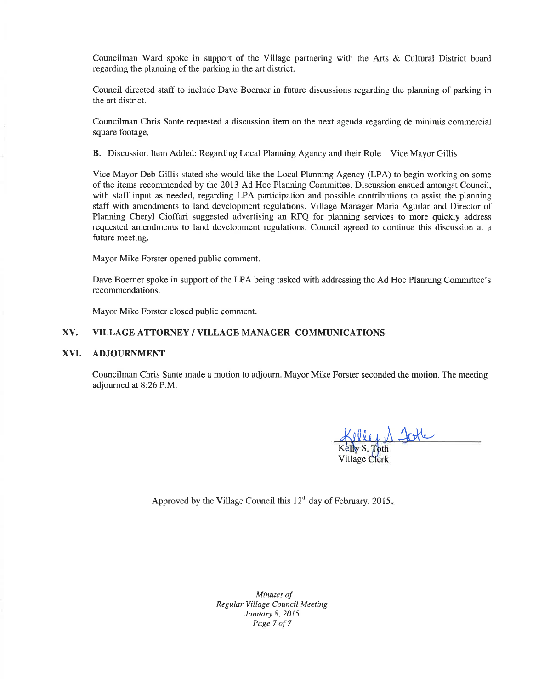Councilman Ward spoke in support of the Village partnering with the Arts & Cultural District board regarding the planning of the parking in the art district.

Council directed staff to include Dave Boerner in future discussions regarding the planning of parking in the art district.

Councilman Chris Sante requested a discussion item on the next agenda regarding de minimis commercial square footage.

B. Discussion Item Added: Regarding Local Planning Agency and their Role – Vice Mayor Gillis

Vice Mayor Deb Gillis stated she would like the Local Planning Agency (LPA) to begin working on some of the items recommended by the 2013 Ad Hoc Planning Committee. Discussion ensued amongst Council, with staff input as needed, regarding LPA participation and possible contributions to assist the planning staff with amendments to land development regulations. Village Manager Maria Aguilar and Director of Planning Cheryl Cioffari suggested advertising an RFO for planning services to more quickly address requested amendments to land development regulations. Council agreed to continue this discussion at a future meeting.

Mayor Mike Forster opened public comment.

Dave Boerner spoke in support of the LPA being tasked with addressing the Ad Hoc Planning Committee's recommendations.

Mayor Mike Forster closed public comment.

### XV. VILLAGE ATTORNEY / VILLAGE MANAGER COMMUNICATIONS

#### XVI. **ADJOURNMENT**

Councilman Chris Sante made a motion to adjourn. Mayor Mike Forster seconded the motion. The meeting adjourned at 8:26 P.M.

Village Clerk

Approved by the Village Council this  $12<sup>th</sup>$  day of February, 2015.

Minutes of Regular Village Council Meeting January 8, 2015 Page 7 of 7